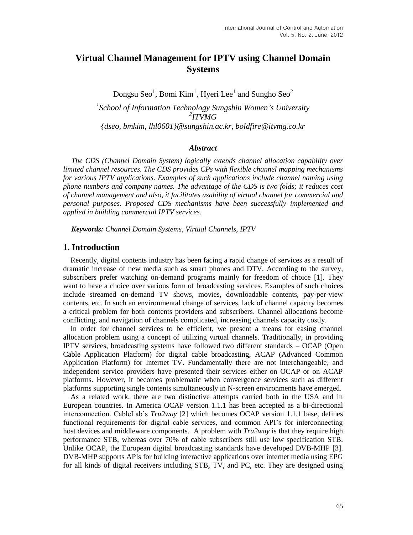# **Virtual Channel Management for IPTV using Channel Domain Systems**

Dongsu Seo $^1$ , Bomi Kim $^1$ , Hyeri Lee $^1$  and Sungho Seo $^2$ *1 School of Information Technology Sungshin Women's University 2 ITVMG {dseo, bmkim, lhl0601}@sungshin.ac.kr, boldfire@itvmg.co.kr*

#### *Abstract*

*The CDS (Channel Domain System) logically extends channel allocation capability over limited channel resources. The CDS provides CPs with flexible channel mapping mechanisms for various IPTV applications. Examples of such applications include channel naming using phone numbers and company names. The advantage of the CDS is two folds; it reduces cost of channel management and also, it facilitates usability of virtual channel for commercial and personal purposes. Proposed CDS mechanisms have been successfully implemented and applied in building commercial IPTV services.*

*Keywords: Channel Domain Systems, Virtual Channels, IPTV*

#### **1. Introduction**

Recently, digital contents industry has been facing a rapid change of services as a result of dramatic increase of new media such as smart phones and DTV. According to the survey, subscribers prefer watching on-demand programs mainly for freedom of choice [1]. They want to have a choice over various form of broadcasting services. Examples of such choices include streamed on-demand TV shows, movies, downloadable contents, pay-per-view contents, etc. In such an environmental change of services, lack of channel capacity becomes a critical problem for both contents providers and subscribers. Channel allocations become conflicting, and navigation of channels complicated, increasing channels capacity costly.

In order for channel services to be efficient, we present a means for easing channel allocation problem using a concept of utilizing virtual channels. Traditionally, in providing IPTV services, broadcasting systems have followed two different standards – OCAP (Open Cable Application Platform) for digital cable broadcasting, ACAP (Advanced Common Application Platform) for Internet TV. Fundamentally there are not interchangeable, and independent service providers have presented their services either on OCAP or on ACAP platforms. However, it becomes problematic when convergence services such as different platforms supporting single contents simultaneously in N-screen environments have emerged.

As a related work, there are two distinctive attempts carried both in the USA and in European countries. In America OCAP version 1.1.1 has been accepted as a bi-directional interconnection. CableLab's *Tru2way* [2] which becomes OCAP version 1.1.1 base, defines functional requirements for digital cable services, and common API's for interconnecting host devices and middleware components. A problem with *Tru2way* is that they require high performance STB, whereas over 70% of cable subscribers still use low specification STB. Unlike OCAP, the European digital broadcasting standards have developed DVB-MHP [3]. DVB-MHP supports APIs for building interactive applications over internet media using EPG for all kinds of digital receivers including STB, TV, and PC, etc. They are designed using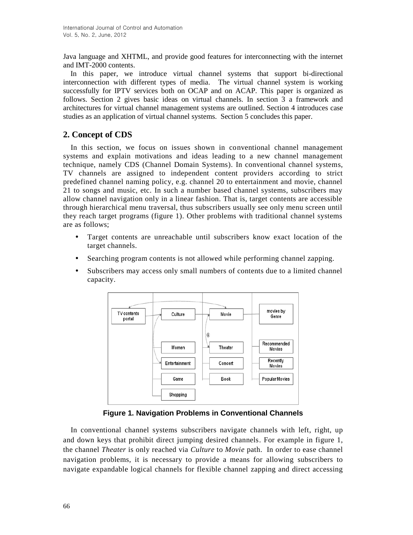Java language and XHTML, and provide good features for interconnecting with the internet and IMT-2000 contents.

In this paper, we introduce virtual channel systems that support bi-directional interconnection with different types of media. The virtual channel system is working successfully for IPTV services both on OCAP and on ACAP. This paper is organized as follows. Section 2 gives basic ideas on virtual channels. In section 3 a framework and architectures for virtual channel management systems are outlined. Section 4 introduces case studies as an application of virtual channel systems. Section 5 concludes this paper.

## **2. Concept of CDS**

In this section, we focus on issues shown in conventional channel management systems and explain motivations and ideas leading to a new channel management technique, namely CDS (Channel Domain Systems). In conventional channel systems, TV channels are assigned to independent content providers according to strict predefined channel naming policy, e.g. channel 20 to entertainment and movie, channel 21 to songs and music, etc. In such a number based channel systems, subscribers may allow channel navigation only in a linear fashion. That is, target contents are accessible through hierarchical menu traversal, thus subscribers usually see only menu screen until they reach target programs (figure 1). Other problems with traditional channel systems are as follows;

- Target contents are unreachable until subscribers know exact location of the target channels.
- Searching program contents is not allowed while performing channel zapping.
- Subscribers may access only small numbers of contents due to a limited channel capacity.



**Figure 1. Navigation Problems in Conventional Channels**

In conventional channel systems subscribers navigate channels with left, right, up and down keys that prohibit direct jumping desired channels. For example in figure 1, the channel *Theater* is only reached via *Culture* to *Movie* path. In order to ease channel navigation problems, it is necessary to provide a means for allowing subscribers to navigate expandable logical channels for flexible channel zapping and direct accessing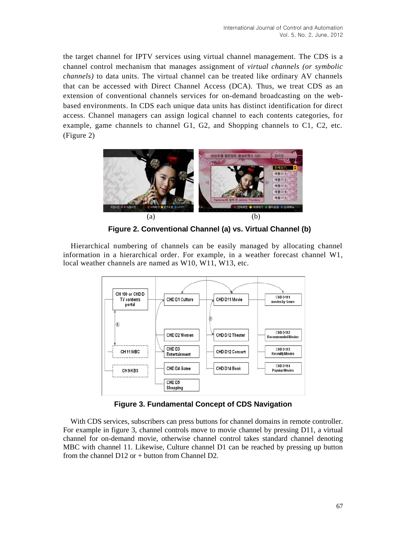the target channel for IPTV services using virtual channel management. The CDS is a channel control mechanism that manages assignment of *virtual channels (or symbolic channels)* to data units. The virtual channel can be treated like ordinary AV channels that can be accessed with Direct Channel Access (DCA). Thus, we treat CDS as an extension of conventional channels services for on-demand broadcasting on the webbased environments. In CDS each unique data units has distinct identification for direct access. Channel managers can assign logical channel to each contents categories, for example, game channels to channel G1, G2, and Shopping channels to C1, C2, etc. (Figure 2)



**Figure 2. Conventional Channel (a) vs. Virtual Channel (b)**

Hierarchical numbering of channels can be easily managed by allocating channel information in a hierarchical order. For example, in a weather forecast channel W1, local weather channels are named as W10, W11, W13, etc.



**Figure 3. Fundamental Concept of CDS Navigation**

With CDS services, subscribers can press buttons for channel domains in remote controller. For example in figure 3, channel controls move to movie channel by pressing D11, a virtual channel for on-demand movie, otherwise channel control takes standard channel denoting MBC with channel 11. Likewise, Culture channel D1 can be reached by pressing up button from the channel  $D12$  or + button from Channel D2.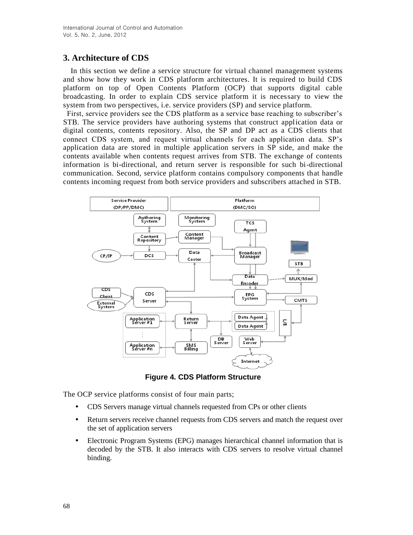# **3. Architecture of CDS**

In this section we define a service structure for virtual channel management systems and show how they work in CDS platform architectures. It is required to build CDS platform on top of Open Contents Platform (OCP) that supports digital cable broadcasting. In order to explain CDS service platform it is necessary to view the system from two perspectives, i.e. service providers (SP) and service platform.

First, service providers see the CDS platform as a service base reaching to subscriber's STB. The service providers have authoring systems that construct application data or digital contents, contents repository. Also, the SP and DP act as a CDS clients that connect CDS system, and request virtual channels for each application data. SP's application data are stored in multiple application servers in SP side, and make the contents available when contents request arrives from STB. The exchange of contents information is bi-directional, and return server is responsible for such bi-directional communication. Second, service platform contains compulsory components that handle contents incoming request from both service providers and subscribers attached in STB.



**Figure 4. CDS Platform Structure**

The OCP service platforms consist of four main parts;

- CDS Servers manage virtual channels requested from CPs or other clients
- Return servers receive channel requests from CDS servers and match the request over the set of application servers
- Electronic Program Systems (EPG) manages hierarchical channel information that is decoded by the STB. It also interacts with CDS servers to resolve virtual channel binding.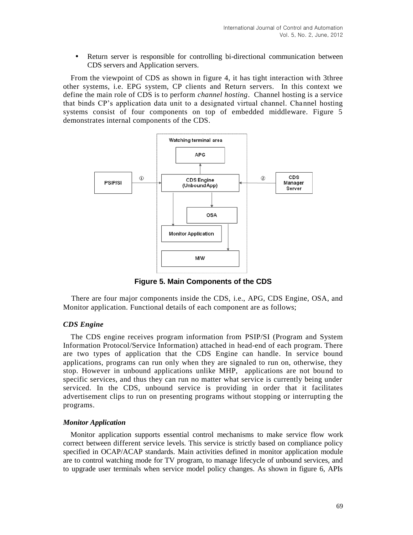Return server is responsible for controlling bi-directional communication between CDS servers and Application servers.

From the viewpoint of CDS as shown in figure 4, it has tight interaction with 3three other systems, i.e. EPG system, CP clients and Return servers. In this context we define the main role of CDS is to perform *channel hosting*. Channel hosting is a service that binds CP's application data unit to a designated virtual channel. Channel hosting systems consist of four components on top of embedded middleware. Figure 5 demonstrates internal components of the CDS.



**Figure 5. Main Components of the CDS**

There are four major components inside the CDS, i.e., APG, CDS Engine, OSA, and Monitor application. Functional details of each component are as follows;

#### *CDS Engine*

The CDS engine receives program information from PSIP/SI (Program and System Information Protocol/Service Information) attached in head-end of each program. There are two types of application that the CDS Engine can handle. In service bound applications, programs can run only when they are signaled to run on, otherwise, they stop. However in unbound applications unlike MHP, applications are not bound to specific services, and thus they can run no matter what service is currently being under serviced. In the CDS, unbound service is providing in order that it facilitates advertisement clips to run on presenting programs without stopping or interrupting the programs.

#### *Monitor Application*

Monitor application supports essential control mechanisms to make service flow work correct between different service levels. This service is strictly based on compliance policy specified in OCAP/ACAP standards. Main activities defined in monitor application module are to control watching mode for TV program, to manage lifecycle of unbound services, and to upgrade user terminals when service model policy changes. As shown in figure 6, APIs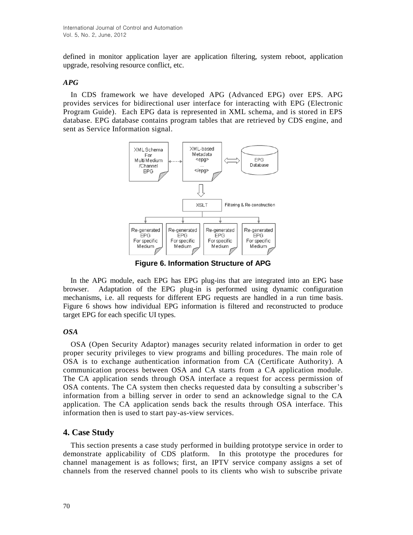defined in monitor application layer are application filtering, system reboot, application upgrade, resolving resource conflict, etc.

#### *APG*

In CDS framework we have developed APG (Advanced EPG) over EPS. APG provides services for bidirectional user interface for interacting with EPG (Electronic Program Guide). Each EPG data is represented in XML schema, and is stored in EPS database. EPG database contains program tables that are retrieved by CDS engine, and sent as Service Information signal.



**Figure 6. Information Structure of APG**

In the APG module, each EPG has EPG plug-ins that are integrated into an EPG base browser. Adaptation of the EPG plug-in is performed using dynamic configuration mechanisms, i.e. all requests for different EPG requests are handled in a run time basis. Figure 6 shows how individual EPG information is filtered and reconstructed to produce target EPG for each specific UI types.

#### *OSA*

OSA (Open Security Adaptor) manages security related information in order to get proper security privileges to view programs and billing procedures. The main role of OSA is to exchange authentication information from CA (Certificate Authority). A communication process between OSA and CA starts from a CA application module. The CA application sends through OSA interface a request for access permission of OSA contents. The CA system then checks requested data by consulting a subscriber's information from a billing server in order to send an acknowledge signal to the CA application. The CA application sends back the results through OSA interface. This information then is used to start pay-as-view services.

## **4. Case Study**

This section presents a case study performed in building prototype service in order to demonstrate applicability of CDS platform. In this prototype the procedures for channel management is as follows; first, an IPTV service company assigns a set of channels from the reserved channel pools to its clients who wish to subscribe private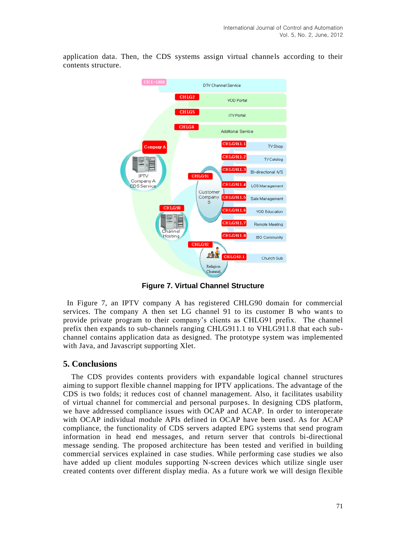application data. Then, the CDS systems assign virtual channels according to their contents structure.



**Figure 7. Virtual Channel Structure**

In Figure 7, an IPTV company A has registered CHLG90 domain for commercial services. The company A then set LG channel 91 to its customer B who wants to provide private program to their company's clients as CHLG91 prefix. The channel prefix then expands to sub-channels ranging CHLG911.1 to VHLG911.8 that each subchannel contains application data as designed. The prototype system was implemented with Java, and Javascript supporting Xlet.

## **5. Conclusions**

The CDS provides contents providers with expandable logical channel structures aiming to support flexible channel mapping for IPTV applications. The advantage of the CDS is two folds; it reduces cost of channel management. Also, it facilitates usability of virtual channel for commercial and personal purposes. In designing CDS platform, we have addressed compliance issues with OCAP and ACAP. In order to interoperate with OCAP individual module APIs defined in OCAP have been used. As for ACAP compliance, the functionality of CDS servers adapted EPG systems that send program information in head end messages, and return server that controls bi-directional message sending. The proposed architecture has been tested and verified in building commercial services explained in case studies. While performing case studies we also have added up client modules supporting N-screen devices which utilize single user created contents over different display media. As a future work we will design flexible